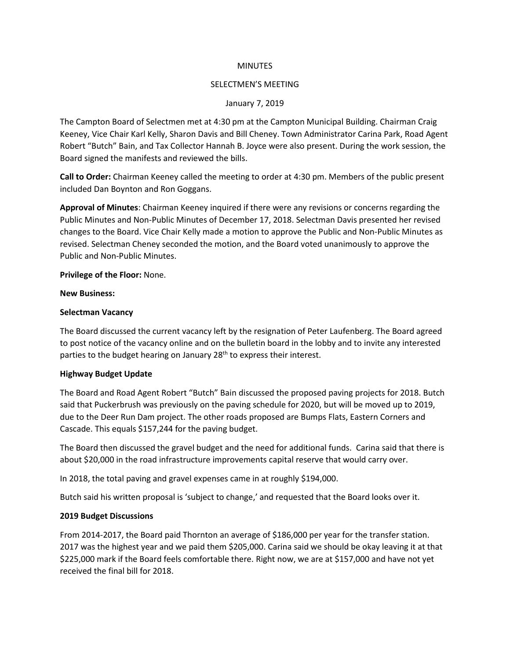#### **MINUTES**

#### SELECTMEN'S MEETING

## January 7, 2019

The Campton Board of Selectmen met at 4:30 pm at the Campton Municipal Building. Chairman Craig Keeney, Vice Chair Karl Kelly, Sharon Davis and Bill Cheney. Town Administrator Carina Park, Road Agent Robert "Butch" Bain, and Tax Collector Hannah B. Joyce were also present. During the work session, the Board signed the manifests and reviewed the bills.

**Call to Order:** Chairman Keeney called the meeting to order at 4:30 pm. Members of the public present included Dan Boynton and Ron Goggans.

**Approval of Minutes**: Chairman Keeney inquired if there were any revisions or concerns regarding the Public Minutes and Non-Public Minutes of December 17, 2018. Selectman Davis presented her revised changes to the Board. Vice Chair Kelly made a motion to approve the Public and Non-Public Minutes as revised. Selectman Cheney seconded the motion, and the Board voted unanimously to approve the Public and Non-Public Minutes.

**Privilege of the Floor:** None.

#### **New Business:**

#### **Selectman Vacancy**

The Board discussed the current vacancy left by the resignation of Peter Laufenberg. The Board agreed to post notice of the vacancy online and on the bulletin board in the lobby and to invite any interested parties to the budget hearing on January 28<sup>th</sup> to express their interest.

## **Highway Budget Update**

The Board and Road Agent Robert "Butch" Bain discussed the proposed paving projects for 2018. Butch said that Puckerbrush was previously on the paving schedule for 2020, but will be moved up to 2019, due to the Deer Run Dam project. The other roads proposed are Bumps Flats, Eastern Corners and Cascade. This equals \$157,244 for the paving budget.

The Board then discussed the gravel budget and the need for additional funds. Carina said that there is about \$20,000 in the road infrastructure improvements capital reserve that would carry over.

In 2018, the total paving and gravel expenses came in at roughly \$194,000.

Butch said his written proposal is 'subject to change,' and requested that the Board looks over it.

## **2019 Budget Discussions**

From 2014-2017, the Board paid Thornton an average of \$186,000 per year for the transfer station. 2017 was the highest year and we paid them \$205,000. Carina said we should be okay leaving it at that \$225,000 mark if the Board feels comfortable there. Right now, we are at \$157,000 and have not yet received the final bill for 2018.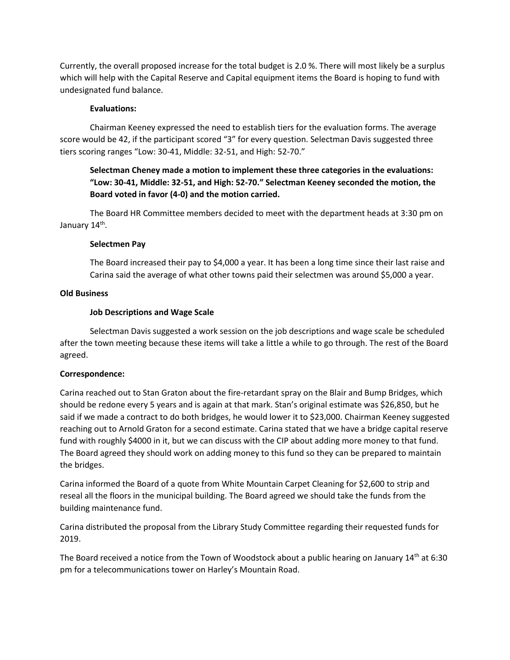Currently, the overall proposed increase for the total budget is 2.0 %. There will most likely be a surplus which will help with the Capital Reserve and Capital equipment items the Board is hoping to fund with undesignated fund balance.

# **Evaluations:**

Chairman Keeney expressed the need to establish tiers for the evaluation forms. The average score would be 42, if the participant scored "3" for every question. Selectman Davis suggested three tiers scoring ranges "Low: 30-41, Middle: 32-51, and High: 52-70."

# **Selectman Cheney made a motion to implement these three categories in the evaluations: "Low: 30-41, Middle: 32-51, and High: 52-70." Selectman Keeney seconded the motion, the Board voted in favor (4-0) and the motion carried.**

The Board HR Committee members decided to meet with the department heads at 3:30 pm on January 14<sup>th</sup>.

## **Selectmen Pay**

The Board increased their pay to \$4,000 a year. It has been a long time since their last raise and Carina said the average of what other towns paid their selectmen was around \$5,000 a year.

# **Old Business**

# **Job Descriptions and Wage Scale**

Selectman Davis suggested a work session on the job descriptions and wage scale be scheduled after the town meeting because these items will take a little a while to go through. The rest of the Board agreed.

## **Correspondence:**

Carina reached out to Stan Graton about the fire-retardant spray on the Blair and Bump Bridges, which should be redone every 5 years and is again at that mark. Stan's original estimate was \$26,850, but he said if we made a contract to do both bridges, he would lower it to \$23,000. Chairman Keeney suggested reaching out to Arnold Graton for a second estimate. Carina stated that we have a bridge capital reserve fund with roughly \$4000 in it, but we can discuss with the CIP about adding more money to that fund. The Board agreed they should work on adding money to this fund so they can be prepared to maintain the bridges.

Carina informed the Board of a quote from White Mountain Carpet Cleaning for \$2,600 to strip and reseal all the floors in the municipal building. The Board agreed we should take the funds from the building maintenance fund.

Carina distributed the proposal from the Library Study Committee regarding their requested funds for 2019.

The Board received a notice from the Town of Woodstock about a public hearing on January  $14<sup>th</sup>$  at 6:30 pm for a telecommunications tower on Harley's Mountain Road.